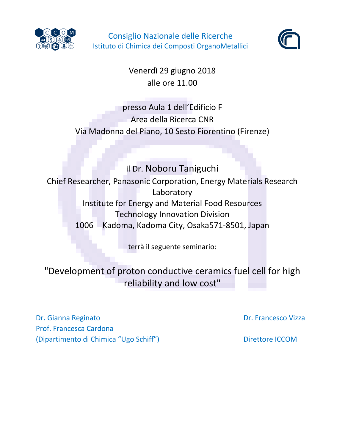

Consiglio Nazionale delle Ricerche Istituto di Chimica dei Composti OrganoMetallici



Venerdì 29 giugno 2018 alle ore 11.00

# presso Aula 1 dell'Edificio F Area della Ricerca CNR Via Madonna del Piano, 10 Sesto Fiorentino (Firenze)

il Dr. Noboru Taniguchi Chief Researcher, Panasonic Corporation, Energy Materials Research Laboratory Institute for Energy and Material Food Resources Technology Innovation Division 1006 Kadoma, Kadoma City, Osaka571-8501, Japan

terrà il seguente seminario:

"Development of proton conductive ceramics fuel cell for high reliability and low cost"

Dr. Gianna Reginato **Dr. Gianna Reginato** Dr. Francesco Vizza Prof. Francesca Cardona (Dipartimento di Chimica "Ugo Schiff") Direttore ICCOM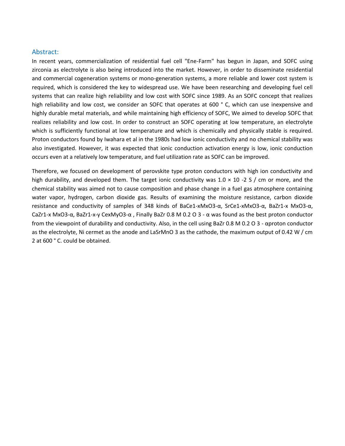#### Abstract:

In recent years, commercialization of residential fuel cell "Ene-Farm" has begun in Japan, and SOFC using zirconia as electrolyte is also being introduced into the market. However, in order to disseminate residential and commercial cogeneration systems or mono-generation systems, a more reliable and lower cost system is required, which is considered the key to widespread use. We have been researching and developing fuel cell systems that can realize high reliability and low cost with SOFC since 1989. As an SOFC concept that realizes high reliability and low cost, we consider an SOFC that operates at 600 °C, which can use inexpensive and highly durable metal materials, and while maintaining high efficiency of SOFC, We aimed to develop SOFC that realizes reliability and low cost. In order to construct an SOFC operating at low temperature, an electrolyte which is sufficiently functional at low temperature and which is chemically and physically stable is required. Proton conductors found by Iwahara et al in the 1980s had low ionic conductivity and no chemical stability was also investigated. However, it was expected that ionic conduction activation energy is low, ionic conduction occurs even at a relatively low temperature, and fuel utilization rate as SOFC can be improved.

Therefore, we focused on development of perovskite type proton conductors with high ion conductivity and high durability, and developed them. The target ionic conductivity was  $1.0 \times 10 \times 2$  S / cm or more, and the chemical stability was aimed not to cause composition and phase change in a fuel gas atmosphere containing water vapor, hydrogen, carbon dioxide gas. Results of examining the moisture resistance, carbon dioxide resistance and conductivity of samples of 348 kinds of BaCe1-xMxO3-α, SrCe1-xMxO3-α, BaZr1-x MxO3-α, CaZr1-x MxO3-α, BaZr1-x-y CexMyO3-α , Finally BaZr 0.8 M 0.2 O 3 - α was found as the best proton conductor from the viewpoint of durability and conductivity. Also, in the cell using BaZr 0.8 M 0.2 O 3 - αproton conductor as the electrolyte, Ni cermet as the anode and LaSrMnO 3 as the cathode, the maximum output of 0.42 W / cm 2 at 600 ° C. could be obtained.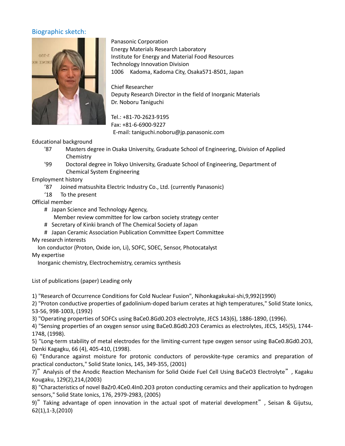# Biographic sketch:



Panasonic Corporation Energy Materials Research Laboratory Institute for Energy and Material Food Resources Technology Innovation Division 1006 Kadoma, Kadoma City, Osaka571-8501, Japan

Chief Researcher Deputy Research Director in the field of Inorganic Materials Dr. Noboru Taniguchi

Tel.: +81-70-2623-9195 Fax: +81-6-6900-9227 E-mail: taniguchi.noboru@jp.panasonic.com

## Educational background

- '87 Masters degree in Osaka University, Graduate School of Engineering, Division of Applied **Chemistry**
- '99 Doctoral degree in Tokyo University, Graduate School of Engineering, Department of Chemical System Engineering

#### Employment history

- '87 Joined matsushita Electric Industry Co., Ltd. (currently Panasonic)
- '18 To the present

#### Official member

- # Japan Science and Technology Agency,
	- Member review committee for low carbon society strategy center
- # Secretary of Kinki branch of The Chemical Society of Japan
- # Japan Ceramic Association Publication Committee Expert Committee

## My research interests

Ion conductor (Proton, Oxide ion, Li), SOFC, SOEC, Sensor, Photocatalyst

#### My expertise

Inorganic chemistry, Electrochemistry, ceramics synthesis

List of publications (paper) Leading only

1) "Research of Occurrence Conditions for Cold Nuclear Fusion", Nihonkagakukai-shi,9,992(1990)

2) "Proton conductive properties of gadolinium-doped barium cerates at high temperatures," Solid State Ionics, 53-56, 998-1003, (1992)

3) "Operating properties of SOFCs using BaCe0.8Gd0.2O3 electrolyte, JECS 143(6), 1886-1890, (1996).

4) "Sensing properties of an oxygen sensor using BaCe0.8Gd0.2O3 Ceramics as electrolytes, JECS, 145(5), 1744- 1748, (1998).

5) "Long-term stability of metal electrodes for the limiting-current type oxygen sensor using BaCe0.8Gd0.2O3, Denki Kagagku, 66 (4), 405-410, (1998).

6) "Endurance against moisture for protonic conductors of perovskite-type ceramics and preparation of practical conductors," Solid State Ionics, 145, 349-355, (2001)

7)"Analysis of the Anodic Reaction Mechanism for Solid Oxide Fuel Cell Using BaCeO3 Electrolyte", Kagaku Kougaku, 129(2),214,(2003)

8) "Characteristics of novel BaZr0.4Ce0.4In0.2O3 proton conducting ceramics and their application to hydrogen sensors," Solid State Ionics, 176, 2979-2983, (2005)

9)"Taking advantage of open innovation in the actual spot of material development", Seisan & Gijutsu, 62(1),1-3,(2010)